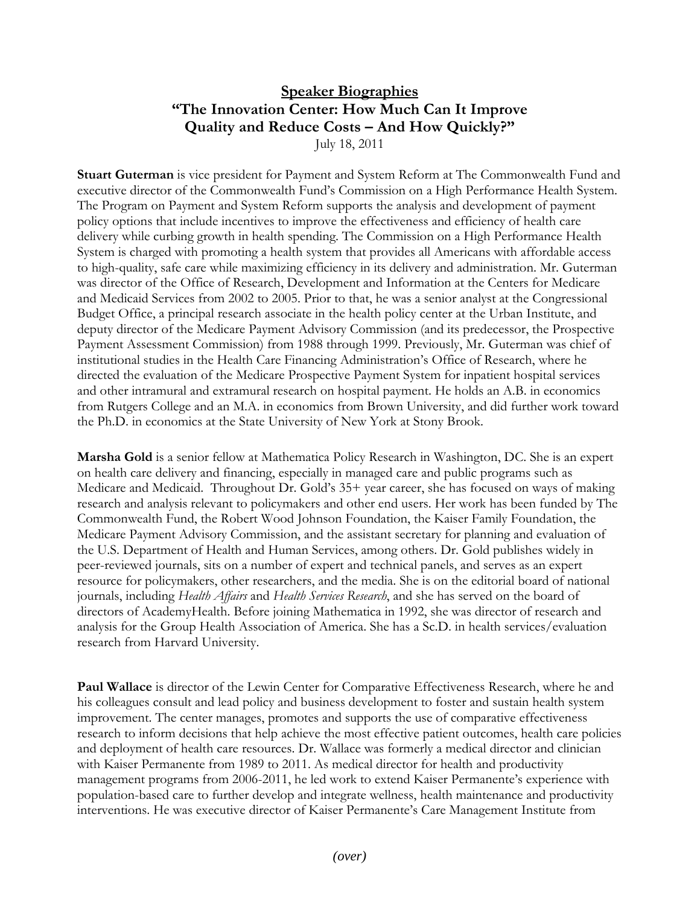## **Speaker Biographies "The Innovation Center: How Much Can It Improve Quality and Reduce Costs – And How Quickly?"**

July 18, 2011

**Stuart Guterman** is vice president for Payment and System Reform at The Commonwealth Fund and executive director of the Commonwealth Fund's Commission on a High Performance Health System. The Program on Payment and System Reform supports the analysis and development of payment policy options that include incentives to improve the effectiveness and efficiency of health care delivery while curbing growth in health spending. The Commission on a High Performance Health System is charged with promoting a health system that provides all Americans with affordable access to high-quality, safe care while maximizing efficiency in its delivery and administration. Mr. Guterman was director of the Office of Research, Development and Information at the Centers for Medicare and Medicaid Services from 2002 to 2005. Prior to that, he was a senior analyst at the Congressional Budget Office, a principal research associate in the health policy center at the Urban Institute, and deputy director of the Medicare Payment Advisory Commission (and its predecessor, the Prospective Payment Assessment Commission) from 1988 through 1999. Previously, Mr. Guterman was chief of institutional studies in the Health Care Financing Administration's Office of Research, where he directed the evaluation of the Medicare Prospective Payment System for inpatient hospital services and other intramural and extramural research on hospital payment. He holds an A.B. in economics from Rutgers College and an M.A. in economics from Brown University, and did further work toward the Ph.D. in economics at the State University of New York at Stony Brook.

**Marsha Gold** is a senior fellow at Mathematica Policy Research in Washington, DC. She is an expert on health care delivery and financing, especially in managed care and public programs such as Medicare and Medicaid. Throughout Dr. Gold's 35+ year career, she has focused on ways of making research and analysis relevant to policymakers and other end users. Her work has been funded by The Commonwealth Fund, the Robert Wood Johnson Foundation, the Kaiser Family Foundation, the Medicare Payment Advisory Commission, and the assistant secretary for planning and evaluation of the U.S. Department of Health and Human Services, among others. Dr. Gold publishes widely in peer-reviewed journals, sits on a number of expert and technical panels, and serves as an expert resource for policymakers, other researchers, and the media. She is on the editorial board of national journals, including *Health Affairs* and *Health Services Research*, and she has served on the board of directors of AcademyHealth. Before joining Mathematica in 1992, she was director of research and analysis for the Group Health Association of America. She has a Sc.D. in health services/evaluation research from Harvard University.

**Paul Wallace** is director of the Lewin Center for Comparative Effectiveness Research, where he and his colleagues consult and lead policy and business development to foster and sustain health system improvement. The center manages, promotes and supports the use of comparative effectiveness research to inform decisions that help achieve the most effective patient outcomes, health care policies and deployment of health care resources. Dr. Wallace was formerly a medical director and clinician with Kaiser Permanente from 1989 to 2011. As medical director for health and productivity management programs from 2006-2011, he led work to extend Kaiser Permanente's experience with population-based care to further develop and integrate wellness, health maintenance and productivity interventions. He was executive director of Kaiser Permanente's Care Management Institute from